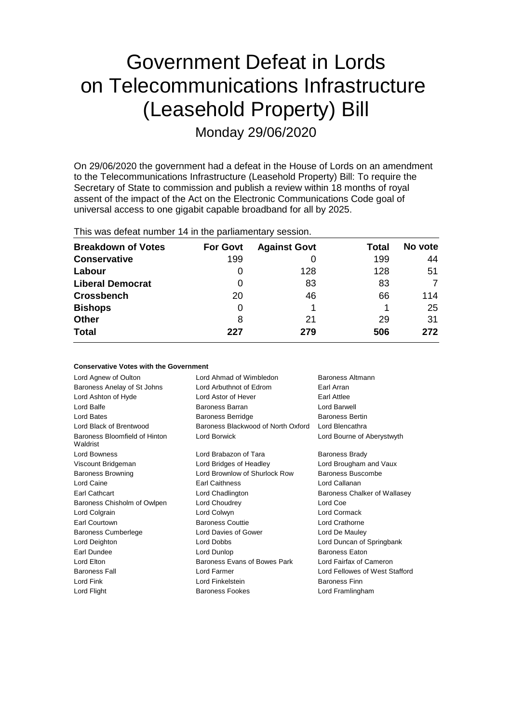## Government Defeat in Lords on Telecommunications Infrastructure (Leasehold Property) Bill

Monday 29/06/2020

On 29/06/2020 the government had a defeat in the House of Lords on an amendment to the Telecommunications Infrastructure (Leasehold Property) Bill: To require the Secretary of State to commission and publish a review within 18 months of royal assent of the impact of the Act on the Electronic Communications Code goal of universal access to one gigabit capable broadband for all by 2025.

| This was defeat number 14 in the parliamentary session. |
|---------------------------------------------------------|
|---------------------------------------------------------|

**Conservative Votes with the Government**

| <b>Breakdown of Votes</b> | <b>For Govt</b> | <b>Against Govt</b> | Total | No vote |
|---------------------------|-----------------|---------------------|-------|---------|
| <b>Conservative</b>       | 199             |                     | 199   | 44      |
| Labour                    | O               | 128                 | 128   | 51      |
| <b>Liberal Democrat</b>   | 0               | 83                  | 83    | 7       |
| <b>Crossbench</b>         | 20              | 46                  | 66    | 114     |
| <b>Bishops</b>            | 0               |                     |       | 25      |
| <b>Other</b>              | 8               | 21                  | 29    | 31      |
| <b>Total</b>              | 227             | 279                 | 506   | 272     |

| Conservative votes with the Government    |                                    |                                |
|-------------------------------------------|------------------------------------|--------------------------------|
| Lord Agnew of Oulton                      | Lord Ahmad of Wimbledon            | Baroness Altmann               |
| Baroness Anelay of St Johns               | Lord Arbuthnot of Edrom            | Earl Arran                     |
| Lord Ashton of Hyde                       | Lord Astor of Hever                | Earl Attlee                    |
| Lord Balfe                                | Baroness Barran                    | Lord Barwell                   |
| Lord Bates                                | <b>Baroness Berridge</b>           | <b>Baroness Bertin</b>         |
| Lord Black of Brentwood                   | Baroness Blackwood of North Oxford | Lord Blencathra                |
| Baroness Bloomfield of Hinton<br>Waldrist | Lord Borwick                       | Lord Bourne of Aberystwyth     |
| Lord Bowness                              | Lord Brabazon of Tara              | <b>Baroness Brady</b>          |
| Viscount Bridgeman                        | Lord Bridges of Headley            | Lord Brougham and Vaux         |
| <b>Baroness Browning</b>                  | Lord Brownlow of Shurlock Row      | Baroness Buscombe              |
| Lord Caine                                | <b>Earl Caithness</b>              | Lord Callanan                  |
| Earl Cathcart                             | Lord Chadlington                   | Baroness Chalker of Wallasey   |
| Baroness Chisholm of Owlpen               | Lord Choudrey                      | Lord Coe                       |
| Lord Colgrain                             | Lord Colwyn                        | Lord Cormack                   |
| Earl Courtown                             | <b>Baroness Couttie</b>            | Lord Crathorne                 |
| <b>Baroness Cumberlege</b>                | Lord Davies of Gower               | Lord De Mauley                 |
| Lord Deighton                             | Lord Dobbs                         | Lord Duncan of Springbank      |
| Earl Dundee                               | Lord Dunlop                        | <b>Baroness Eaton</b>          |
| Lord Elton                                | Baroness Evans of Bowes Park       | Lord Fairfax of Cameron        |
| <b>Baroness Fall</b>                      | Lord Farmer                        | Lord Fellowes of West Stafford |
| Lord Fink                                 | Lord Finkelstein                   | <b>Baroness Finn</b>           |
| Lord Flight                               | <b>Baroness Fookes</b>             | Lord Framlingham               |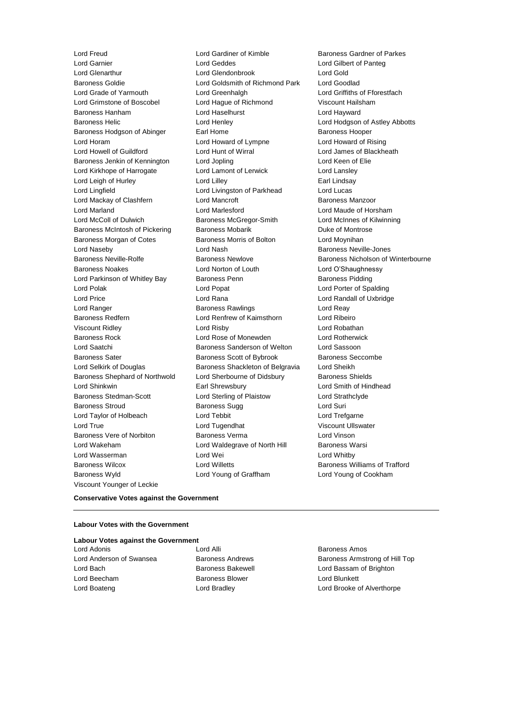Lord Freud **Lord Gardiner of Kimble** Baroness Gardner of Parkes<br>
Lord Garnier **Lord Geddes** Lord Geddes **Lord Gilbert of Pante** a Baroness Wyld Lord Young of Graffham Lord Young of Cookham Viscount Younger of Leckie

Lord Glenarthur Lord Glendonbrook Lord Gold Baroness Goldie Lord Goldsmith of Richmond Park Lord Goodlad Lord Grade of Yarmouth Lord Greenhalgh Lord Griffiths of Fforestfach Lord Grimstone of Boscobel Lord Hague of Richmond Viscount Hailsham Baroness Hanham Lord Haselhurst Lord Hayward Baroness Helic Lord Henley Lord Hodgson of Astley Abbotts Baroness Hodgson of Abinger Earl Home **Earl Home** Baroness Hooper Lord Horam Lord Howard of Lympne Lord Howard of Rising Lord Howell of Guildford Lord Hunt of Wirral Lord James of Blackheath Baroness Jenkin of Kennington Lord Jopling Communication Lord Keen of Elie Lord Kirkhope of Harrogate Lord Lamont of Lerwick Lord Lansley Lord Leigh of Hurley **Lord Lilley** Lord Lilley **Carl Lindsay** Lord Lingfield Lord Livingston of Parkhead Lord Lucas Lord Mackay of Clashfern **Lord Mancroft Baroness Manzoor** Baroness Manzoor Lord Marland Lord Marlesford Lord Maude of Horsham Lord McColl of Dulwich Baroness McGregor-Smith Lord McInnes of Kilwinning Baroness McIntosh of Pickering Baroness Mobarik Baroness Mobarick Duke of Montrose Baroness Morgan of Cotes **Baroness Morris of Bolton** Lord Moynihan Lord Naseby Lord Nash Baroness Neville-Jones Baroness Neville-Rolfe Baroness Newlove Baroness Nicholson of Winterbourne Baroness Noakes Lord Norton of Louth Lord O'Shaughnessy Lord Parkinson of Whitley Bay Baroness Penn Baroness Pidding Lord Polak Lord Popat Lord Porter of Spalding Lord Price Lord Rana Lord Randall of Uxbridge Lord Ranger **Baroness Rawlings** Lord Reay Readers Baroness Redfern Lord Renfrew of Kaimsthorn Lord Ribeiro Viscount Ridley Lord Risby Lord Robathan Baroness Rock Lord Rose of Monewden Lord Rotherwick Lord Saatchi Baroness Sanderson of Welton Lord Sassoon Baroness Sater **Baroness Scott of Bybrook** Baroness Seccombe Lord Selkirk of Douglas Baroness Shackleton of Belgravia Lord Sheikh Baroness Shephard of Northwold Lord Sherbourne of Didsbury Baroness Shields Lord Shinkwin Earl Shrewsbury Lord Smith of Hindhead Baroness Stedman-Scott **Lord Sterling of Plaistow** Lord Strathclyde Baroness Stroud **Baroness Sugg Contains Containers** Lord Suri Lord Taylor of Holbeach **Lord Tebbit** Lord Trefgarne Lord True Lord Tugendhat Viscount Ullswater Baroness Vere of Norbiton **Baroness Verma** Lord Vinson Lord Wakeham **Lord Waldegrave of North Hill** Baroness Warsi Lord Wasserman **Lord Wei** Lord Wei **Lord Whitby** Baroness Wilcox **Lord Willetts** Baroness Williams of Trafford

Lord Gilbert of Panteg

#### **Conservative Votes against the Government**

#### **Labour Votes with the Government**

**Labour Votes against the Government** Lord Adonis **Lord Alli Lord Alli Baroness Amos** 

- Lord Beecham **Baroness Blower** Baroness Blower **Lord Blunkett**
- 

Lord Anderson of Swansea **Baroness Andrews** Baroness Andrews Baroness Armstrong of Hill Top Lord Bach **Baroness Bakewell Baroness Bakewell Lord Bassam of Brighton** Lord Boateng Lord Bradley Lord Brooke of Alverthorpe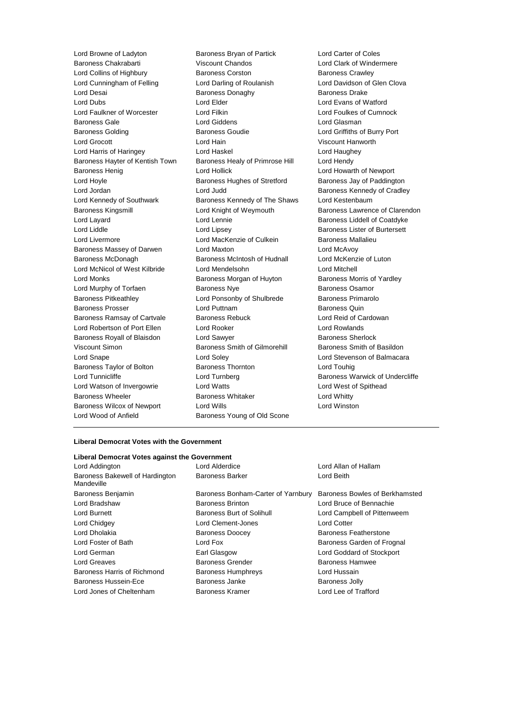Lord Browne of Ladyton **Baroness Bryan of Partick** Lord Carter of Coles<br>Baroness Chakrabarti **Coles Contract Chandos** Lord Clark of Winder Baroness Chakrabarti Viscount Chandos Lord Clark of Windermere Lord Collins of Highbury Baroness Corston Baroness Crawley Lord Cunningham of Felling **Lord Darling of Roulanish Lord Davidson of Glen Clova** Lord Desai **Baroness Donaghy** Baroness Donaghy Baroness Drake Lord Dubs Lord Elder Lord Evans of Watford Lord Faulkner of Worcester Lord Filkin Lord Foulkes of Cumnock Baroness Gale Lord Giddens Lord Glasman Baroness Golding **Baroness Goudie** Baroness Goudie Lord Griffiths of Burry Port Lord Grocott Lord Hain Viscount Hanworth Lord Harris of Haringey Lord Haskel Lord Haughey Baroness Hayter of Kentish Town Baroness Healy of Primrose Hill Lord Hendy Baroness Henig **Example 20** Lord Hollick **Lord Hollick** Lord Howarth of Newport Lord Hoyle **Baroness Hughes of Stretford** Baroness Jay of Paddington Lord Jordan Lord Judd Baroness Kennedy of Cradley Lord Kennedy of Southwark **Baroness Kennedy of The Shaws** Lord Kestenbaum Baroness Kingsmill Lord Knight of Weymouth Baroness Lawrence of Clarendon Lord Layard Lord Lennie Baroness Liddell of Coatdyke Lord Liddle Lord Lipsey Baroness Lister of Burtersett Lord Livermore **Lord MacKenzie of Culkein** Baroness Mallalieu Baroness Massey of Darwen Lord Maxton Lord McAvoy Baroness McDonagh Baroness McIntosh of Hudnall Lord McKenzie of Luton Lord McNicol of West Kilbride Lord Mendelsohn Lord Mitchell Lord Monks **Baroness Morgan of Huyton** Baroness Morris of Yardley Lord Murphy of Torfaen **Baroness Nye** Baroness Osamor Baroness Pitkeathley Lord Ponsonby of Shulbrede Baroness Primarolo Baroness Prosser **Baroness Prosser** Lord Puttnam **Baroness Quin** Baroness Ramsay of Cartvale Baroness Rebuck Lord Reid of Cardowan Lord Robertson of Port Ellen Lord Rooker Lord Rowlands Baroness Royall of Blaisdon Lord Sawyer **Baroness Sherlock** Baroness Sherlock Viscount Simon **Baroness Smith of Gilmorehill** Baroness Smith of Basildon Lord Snape Lord Soley Lord Stevenson of Balmacara Baroness Taylor of Bolton Baroness Thornton Lord Touhig Lord Tunnicliffe **Lord Turnberg Lord Baroness Warwick of Undercliffe** Lord Watson of Invergowrie **Lord Watts** Lord West of Spithead Baroness Wheeler **Baroness Whitaker** Lord Whitty Baroness Wilcox of Newport Lord Wills Lord Winston Lord Wood of Anfield Baroness Young of Old Scone

## **Liberal Democrat Votes with the Government**

| Liberal Democrat Votes against the Government |                                    |                                |  |  |  |
|-----------------------------------------------|------------------------------------|--------------------------------|--|--|--|
| Lord Addington                                | Lord Alderdice                     | Lord Allan of Hallam           |  |  |  |
| Baroness Bakewell of Hardington<br>Mandeville | <b>Baroness Barker</b>             | Lord Beith                     |  |  |  |
| Baroness Benjamin                             | Baroness Bonham-Carter of Yarnbury | Baroness Bowles of Berkhamsted |  |  |  |
| Lord Bradshaw                                 | <b>Baroness Brinton</b>            | Lord Bruce of Bennachie        |  |  |  |
| Lord Burnett                                  | Baroness Burt of Solihull          | Lord Campbell of Pittenweem    |  |  |  |
| Lord Chidgey                                  | Lord Clement-Jones                 | <b>Lord Cotter</b>             |  |  |  |
| Lord Dholakia                                 | <b>Baroness Doocey</b>             | Baroness Featherstone          |  |  |  |
| Lord Foster of Bath                           | Lord Fox                           | Baroness Garden of Frognal     |  |  |  |
| Lord German                                   | Earl Glasgow                       | Lord Goddard of Stockport      |  |  |  |
| Lord Greaves                                  | <b>Baroness Grender</b>            | <b>Baroness Hamwee</b>         |  |  |  |
| Baroness Harris of Richmond                   | <b>Baroness Humphreys</b>          | Lord Hussain                   |  |  |  |
| Baroness Hussein-Ece                          | Baroness Janke                     | <b>Baroness Jolly</b>          |  |  |  |
| Lord Jones of Cheltenham                      | Baroness Kramer                    | Lord Lee of Trafford           |  |  |  |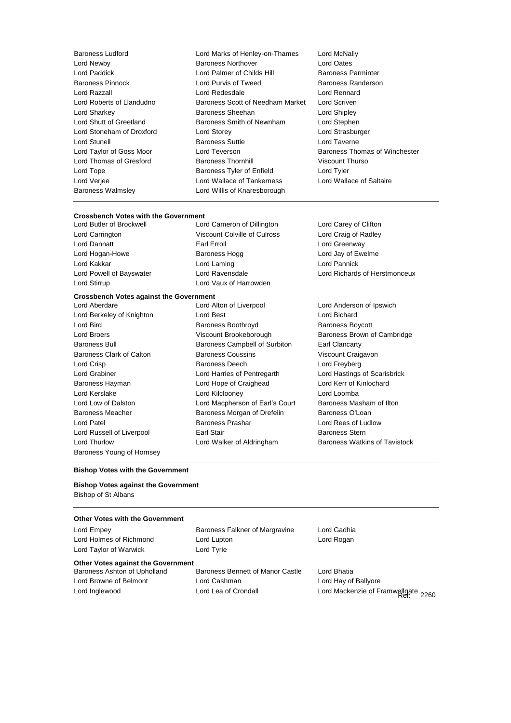Baroness Ludford **Lord Marks of Henley-on-Thames** Lord McNally<br>
Lord Newby **Communist Baroness Northover** Lord Oates Lord Newby **Baroness Northover** Lord Oates<br>
Lord Paddick **Baroness Lord Palmer of Childs Hill**<br>
Lord Paddick Lord Palmer of Childs Hill **Baroness Parminter** Baroness Pinnock Lord Purvis of Tweed Baroness Randerson Lord Razzall Lord Redesdale Lord Rennard Lord Roberts of Llandudno Baroness Scott of Needham Market Lord Scriven Lord Sharkey Baroness Sheehan Lord Shipley Lord Shutt of Greetland **Baroness Smith of Newnham** Lord Stephen Lord Stoneham of Droxford Lord Storey Lord Strasburger Lord Stunell **Baroness Suttie Lord Taverne** Lord Taylor of Goss Moor **Lord Teverson** Baroness Thomas of Winchester Lord Thomas of Gresford Baroness Thornhill Viscount Thurso Lord Tope **Baroness Tyler of Enfield** Lord Tyler Lord Verjee Lord Wallace of Tankerness Lord Wallace of Saltaire Baroness Walmsley Lord Willis of Knaresborough

Lord Palmer of Childs Hill

## **Crossbench Votes with the Government**

Lord Carrington Viscount Colville of Culross Lord Craig of Radley Lord Dannatt Earl Erroll Lord Greenway Lord Hogan-Howe **Baroness Hogg Communist Communist Except** Lord Jay of Ewelme Lord Kakkar Lord Laming Lord Pannick Lord Stirrup **Lord Vaux of Harrowden** 

Lord Cameron of Dillington Lord Carey of Clifton

# Lord Powell of Bayswater Lord Ravensdale Lord Richards of Herstmonceux

## **Crossbench Votes against the Government**

- Baroness Young of Hornsey
- Lord Aberdare Lord Alton of Liverpool Lord Anderson of Ipswich Lord Berkeley of Knighton **Lord Best** Lord Best **Lord Bichard** Lord Bird **Baroness Boothroyd** Baroness Boothroyd **Baroness Boycott** Lord Broers **Example 2** Viscount Brookeborough Baroness Brown of Cambridge Baroness Bull **Baroness Campbell of Surbiton** Earl Clancarty Baroness Clark of Calton Baroness Coussins Viscount Craigavon Lord Crisp **Baroness Deech** Lord Freyberg **Lord Freyberg** Lord Grabiner Lord Harries of Pentregarth Lord Hastings of Scarisbrick Baroness Hayman Lord Hope of Craighead Lord Kerr of Kinlochard Lord Kerslake Lord Kilclooney Lord Loomba Lord Low of Dalston **Lord Macpherson of Earl's Court** Baroness Masham of Ilton Baroness Meacher **Baroness Morgan of Drefelin** Baroness O'Loan Lord Patel Baroness Prashar Lord Rees of Ludlow Lord Russell of Liverpool **Earl Stair** Earl Stair Baroness Stern Lord Thurlow **Lord Walker of Aldringham** Baroness Watkins of Tavistock

## **Bishop Votes with the Government**

## **Bishop Votes against the Government** Bishop of St Albans

| <b>Other Votes with the Government</b>    |                                  |                                     |
|-------------------------------------------|----------------------------------|-------------------------------------|
| Lord Empey                                | Baroness Falkner of Margravine   | Lord Gadhia                         |
| Lord Holmes of Richmond                   | Lord Lupton                      | Lord Rogan                          |
| Lord Taylor of Warwick                    | Lord Tyrie                       |                                     |
| <b>Other Votes against the Government</b> |                                  |                                     |
| Baroness Ashton of Upholland              | Baroness Bennett of Manor Castle | Lord Bhatia                         |
| Lord Browne of Belmont                    | Lord Cashman                     | Lord Hay of Ballyore                |
| Lord Inglewood                            | Lord Lea of Crondall             | Lord Mackenzie of Framwellgate 2260 |